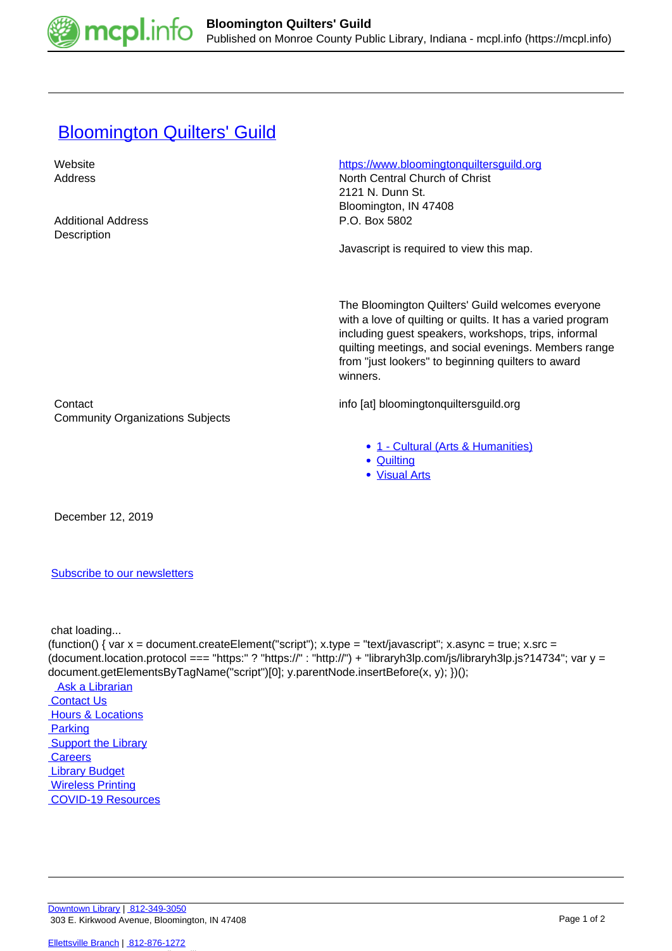

## **[Bloomington Quilters' Guild](https://mcpl.info/commorg/bloomington-quilters-guild)**

Website **https://www.bloomingtonquiltersquild.org** Address North Central Church of Christ 2121 N. Dunn St. Bloomington, IN 47408 Additional Address **P.O. Box 5802 Description** Javascript is required to view this map. The Bloomington Quilters' Guild welcomes everyone with a love of quilting or quilts. It has a varied program including guest speakers, workshops, trips, informal quilting meetings, and social evenings. Members range from "just lookers" to beginning quilters to award winners. Contact info [at] bloomingtonquiltersguild.org Community Organizations Subjects • [1 - Cultural \(Arts & Humanities\)](https://mcpl.info/community-organization-subjects/24945) • **[Quilting](https://mcpl.info/taxonomy/term/25035)** [Visual Arts](https://mcpl.info/taxonomy/term/25043)

December 12, 2019

[Subscribe to our newsletters](https://mcpl.info/geninfo/subscribe-think-library-newsletter)

chat loading...

(function() { var  $x =$  document.createElement("script");  $x.$ type = "text/javascript";  $x.$ async = true;  $x.$ src = (document.location.protocol === "https:" ? "https://" : "http://") + "libraryh3lp.com/js/libraryh3lp.js?14734"; var y = document.getElementsByTagName("script")[0]; y.parentNode.insertBefore(x, y); })(); Ask a Librarian  [Contact Us](https://mcpl.info/geninfo/contact-us) **Hours & Locations**  [Parking](https://mcpl.info/parking?utm_source=footer&utm_medium=links&utm_campaign=parking) **Support the Library Careers**  [Library Budget](https://budgetnotices.in.gov/unit_lookup.aspx?ct=53000)

 [Wireless Printing](https://tbs.eprintit.com/portal/#/ppl/upload/monroecpl)  [COVID-19 Resources](https://mcpl.info/geninfo/local-covid-resources)